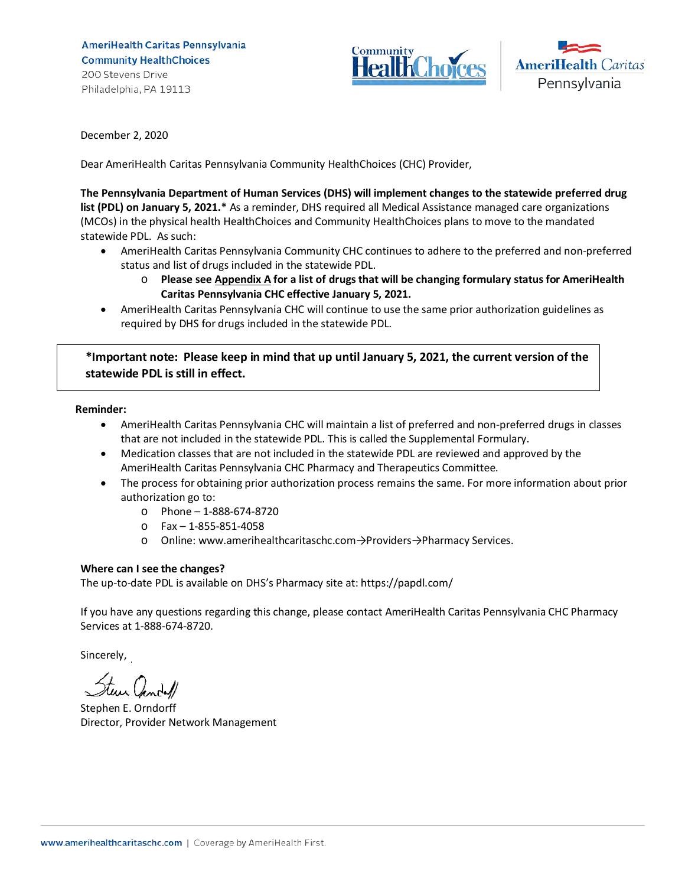AmeriHealth Caritas Pennsylvania **Community HealthChoices** 200 Stevens Drive Philadelphia, PA 19113





December 2, 2020

Dear AmeriHealth Caritas Pennsylvania Community HealthChoices (CHC) Provider,

**The Pennsylvania Department of Human Services (DHS) will implement changes to the statewide preferred drug list (PDL) on January 5, 2021.\*** As a reminder, DHS required all Medical Assistance managed care organizations (MCOs) in the physical health HealthChoices and Community HealthChoices plans to move to the mandated statewide PDL. As such:

- AmeriHealth Caritas Pennsylvania Community CHC continues to adhere to the preferred and non-preferred status and list of drugs included in the statewide PDL.
	- o **Please see Appendix A for a list of drugs that will be changing formulary status for AmeriHealth Caritas Pennsylvania CHC effective January 5, 2021.**
- AmeriHealth Caritas Pennsylvania CHC will continue to use the same prior authorization guidelines as required by DHS for drugs included in the statewide PDL.

**\*Important note: Please keep in mind that up until January 5, 2021, the current version of the statewide PDL is still in effect.** 

## **Reminder:**

- AmeriHealth Caritas Pennsylvania CHC will maintain a list of preferred and non-preferred drugs in classes that are not included in the statewide PDL. This is called the Supplemental Formulary.
- Medication classes that are not included in the statewide PDL are reviewed and approved by the AmeriHealth Caritas Pennsylvania CHC Pharmacy and Therapeutics Committee.
- The process for obtaining prior authorization process remains the same. For more information about prior authorization go to:
	- o Phone 1-888-674-8720
	- o Fax 1-855-851-4058
	- o Online: www.amerihealthcaritaschc.com→Providers→Pharmacy Services.

## **Where can I see the changes?**

The up-to-date PDL is available on DHS's Pharmacy site at: https://papdl.com/

If you have any questions regarding this change, please contact AmeriHealth Caritas Pennsylvania CHC Pharmacy Services at 1-888-674-8720.

Sincerely,

Stephen E. Orndorff Director, Provider Network Management